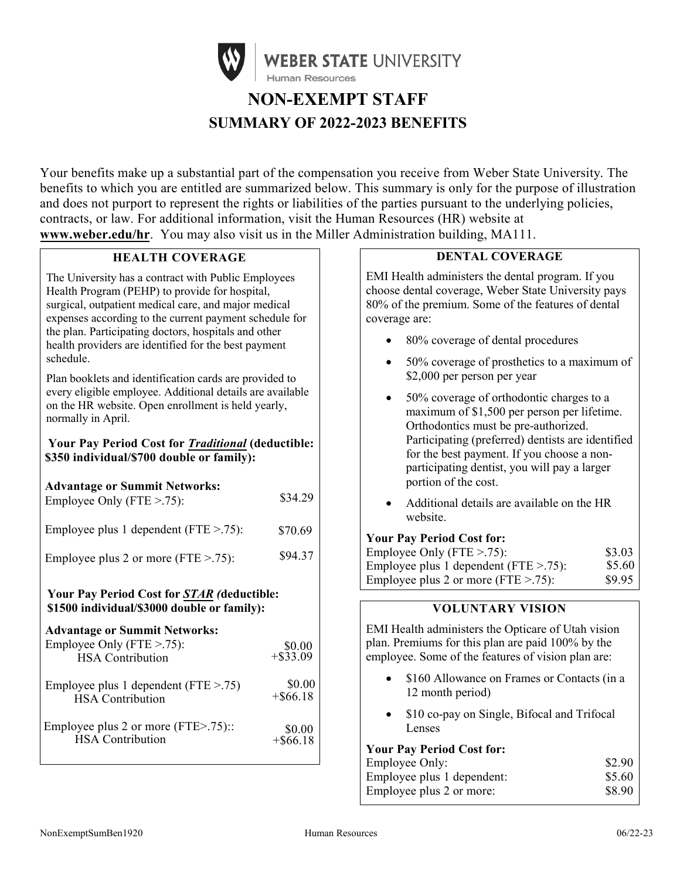

# **NON-EXEMPT STAFF SUMMARY OF 2022-2023 BENEFITS**

Your benefits make up a substantial part of the compensation you receive from Weber State University. The benefits to which you are entitled are summarized below. This summary is only for the purpose of illustration and does not purport to represent the rights or liabilities of the parties pursuant to the underlying policies, contracts, or law. For additional information, visit the Human Resources (HR) website at **[www.weber.edu/hr](http://www.weber.edu/hr)**. You may also visit us in the Miller Administration building, MA111.

## **HEALTH COVERAGE**

The University has a contract with Public Employees Health Program (PEHP) to provide for hospital, surgical, outpatient medical care, and major medical expenses according to the current payment schedule for the plan. Participating doctors, hospitals and other health providers are identified for the best payment schedule.

Plan booklets and identification cards are provided to every eligible employee. Additional details are available on the HR website. Open enrollment is held yearly, normally in April.

## **Your Pay Period Cost for** *Traditional* **(deductible: \$350 individual/\$700 double or family):**

| <b>Advantage or Summit Networks:</b><br>Employee Only (FTE $> .75$ ): | \$34.29 |
|-----------------------------------------------------------------------|---------|
| Employee plus 1 dependent ( $FTE > .75$ ):                            | \$70.69 |
| Employee plus 2 or more (FTE $>$ .75):                                | \$94.37 |
|                                                                       |         |

#### **Your Pay Period Cost for** *STAR (***deductible: \$1500 individual/\$3000 double or family):**

#### **Advantage or Summit Networks:**

| Employee Only (FTE $> .75$ ):<br><b>HSA</b> Contribution | $$0.00$<br>+\$33.09 |
|----------------------------------------------------------|---------------------|
| Employee plus 1 dependent ( $FTE > .75$ )                | \$0.00              |
| <b>HSA</b> Contribution                                  | $+$ \$66.18         |
| Employee plus 2 or more (FTE>.75)::                      | \$0.00              |
| <b>HSA</b> Contribution                                  | $+$ \$66.18         |

# **DENTAL COVERAGE**

EMI Health administers the dental program. If you choose dental coverage, Weber State University pays 80% of the premium. Some of the features of dental coverage are:

- 80% coverage of dental procedures
- 50% coverage of prosthetics to a maximum of \$2,000 per person per year
- 50% coverage of orthodontic charges to a maximum of \$1,500 per person per lifetime. Orthodontics must be pre-authorized. Participating (preferred) dentists are identified for the best payment. If you choose a nonparticipating dentist, you will pay a larger portion of the cost.
- Additional details are available on the HR website.

## **Your Pay Period Cost for:**

| Employee Only (FTE $> 0.75$ ):             | \$3.03 |
|--------------------------------------------|--------|
| Employee plus 1 dependent ( $FTE > .75$ ): | \$5.60 |
| Employee plus 2 or more (FTE $> .75$ ):    | \$9.95 |

## **VOLUNTARY VISION**

EMI Health administers the Opticare of Utah vision plan. Premiums for this plan are paid 100% by the employee. Some of the features of vision plan are:

- \$160 Allowance on Frames or Contacts (in a 12 month period)
- \$10 co-pay on Single, Bifocal and Trifocal Lenses

# **Your Pay Period Cost for:**

| Employee Only:             | \$2.90 |
|----------------------------|--------|
| Employee plus 1 dependent: | \$5.60 |
| Employee plus 2 or more:   | \$8.90 |